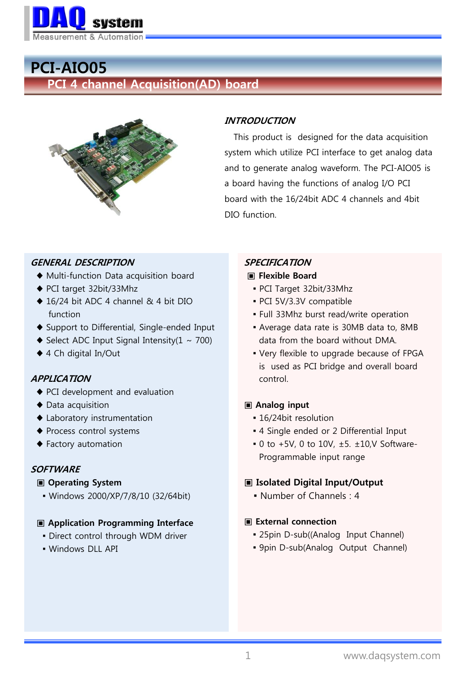

# PCI-AIO05

PCI 4 channel Acquisition(AD) board



# INTRODUCTION

 This product is designed for the data acquisition system which utilize PCI interface to get analog data and to generate analog waveform. The PCI-AIO05 is a board having the functions of analog I/O PCI board with the 16/24bit ADC 4 channels and 4bit DIO function.

# GENERAL DESCRIPTION

- ♦ Multi-function Data acquisition board
- ♦ PCI target 32bit/33Mhz
- ♦ 16/24 bit ADC 4 channel & 4 bit DIO function
- ♦ Support to Differential, Single-ended Input
- $\blacklozenge$  Select ADC Input Signal Intensity(1 ~ 700)
- ♦ 4 Ch digital In/Out

#### APPLICATION

- ♦ PCI development and evaluation
- ♦ Data acquisition
- ♦ Laboratory instrumentation
- ♦ Process control systems
- ♦ Factory automation

# **SOFTWARE**

#### ▣ Operating System

▪ Windows 2000/XP/7/8/10 (32/64bit)

#### ▣ Application Programming Interface

- **.** Direct control through WDM driver
- Windows DLL API

# SPECIFICATION

# ▣ Flexible Board

- PCI Target 32bit/33Mhz
- PCI 5V/3.3V compatible
- Full 33Mhz burst read/write operation
- Average data rate is 30MB data to, 8MB data from the board without DMA.
- Very flexible to upgrade because of FPGA is used as PCI bridge and overall board control.

# ▣ Analog input

- 16/24bit resolution
- 4 Single ended or 2 Differential Input
- $\bullet$  0 to +5V, 0 to 10V,  $\pm$ 5.  $\pm$ 10,V Software-Programmable input range

# ▣ Isolated Digital Input/Output

▪ Number of Channels : 4

#### ▣ External connection

- **25pin D-sub((Analog Input Channel)**
- 9pin D-sub(Analog Output Channel)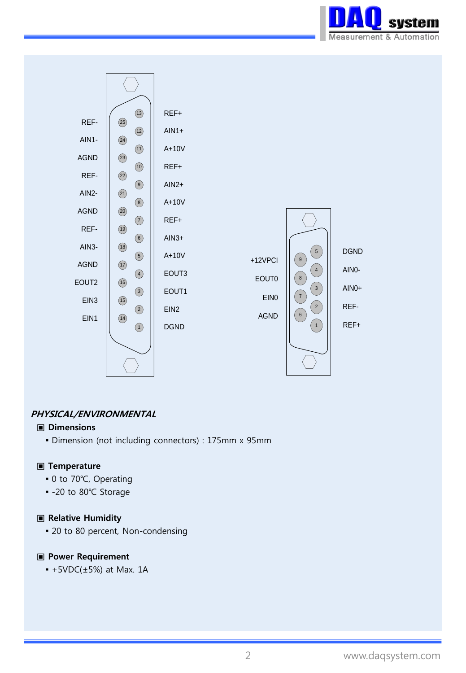



### PHYSICAL/ENVIRONMENTAL

#### ▣ Dimensions

▪ Dimension (not including connectors) : 175mm x 95mm

#### ▣ Temperature

- 0 to 70°C, Operating
- -20 to 80℃ Storage

#### ▣ Relative Humidity

• 20 to 80 percent, Non-condensing

#### ▣ Power Requirement

 $-$  +5VDC( $\pm$ 5%) at Max. 1A